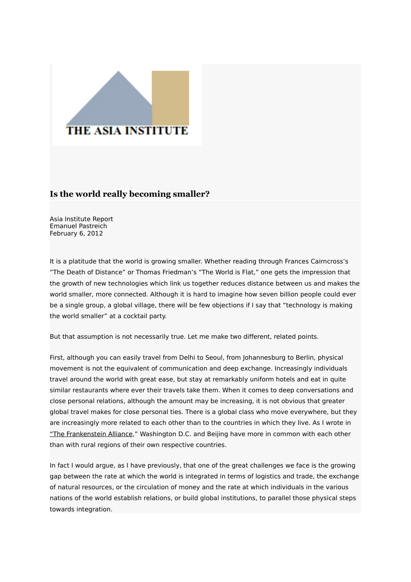## **THE ASIA INSTITUTE**

## **Is the world really becoming smaller?**

Asia Institute Report Emanuel Pastreich February 6, 2012

It is a platitude that the world is growing smaller. Whether reading through Frances Cairncross's "The Death of Distance" or Thomas Friedman's "The World is Flat," one gets the impression that the growth of new technologies which link us together reduces distance between us and makes the world smaller, more connected. Although it is hard to imagine how seven billion people could ever be a single group, a global village, there will be few objections if I say that "technology is making the world smaller" at a cocktail party.

But that assumption is not necessarily true. Let me make two different, related points.

First, although you can easily travel from Delhi to Seoul, from Johannesburg to Berlin, physical movement is not the equivalent of communication and deep exchange. Increasingly individuals travel around the world with great ease, but stay at remarkably uniform hotels and eat in quite similar restaurants where ever their travels take them. When it comes to deep conversations and close personal relations, although the amount may be increasing, it is not obvious that greater global travel makes for close personal ties. There is a global class who move everywhere, but they are increasingly more related to each other than to the countries in which they live. As I wrote in ["The Frankenstein Alliance,](http://www.fpif.org/articles/the_frankenstein_alliance)" Washington D.C. and Beijing have more in common with each other than with rural regions of their own respective countries.

In fact I would argue, as I have previously, that one of the great challenges we face is the growing gap between the rate at which the world is integrated in terms of logistics and trade, the exchange of natural resources, or the circulation of money and the rate at which individuals in the various nations of the world establish relations, or build global institutions, to parallel those physical steps towards integration.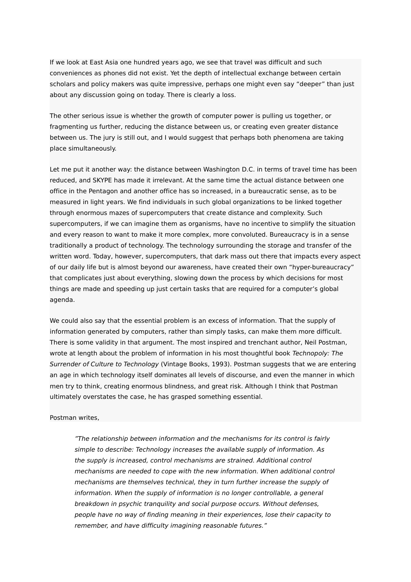If we look at East Asia one hundred years ago, we see that travel was difficult and such conveniences as phones did not exist. Yet the depth of intellectual exchange between certain scholars and policy makers was quite impressive, perhaps one might even say "deeper" than just about any discussion going on today. There is clearly a loss.

The other serious issue is whether the growth of computer power is pulling us together, or fragmenting us further, reducing the distance between us, or creating even greater distance between us. The jury is still out, and I would suggest that perhaps both phenomena are taking place simultaneously.

Let me put it another way: the distance between Washington D.C. in terms of travel time has been reduced, and SKYPE has made it irrelevant. At the same time the actual distance between one office in the Pentagon and another office has so increased, in a bureaucratic sense, as to be measured in light years. We find individuals in such global organizations to be linked together through enormous mazes of supercomputers that create distance and complexity. Such supercomputers, if we can imagine them as organisms, have no incentive to simplify the situation and every reason to want to make it more complex, more convoluted. Bureaucracy is in a sense traditionally a product of technology. The technology surrounding the storage and transfer of the written word. Today, however, supercomputers, that dark mass out there that impacts every aspect of our daily life but is almost beyond our awareness, have created their own "hyper-bureaucracy" that complicates just about everything, slowing down the process by which decisions for most things are made and speeding up just certain tasks that are required for a computer's global agenda.

We could also say that the essential problem is an excess of information. That the supply of information generated by computers, rather than simply tasks, can make them more difficult. There is some validity in that argument. The most inspired and trenchant author, Neil Postman, wrote at length about the problem of information in his most thoughtful book Technopoly: The Surrender of Culture to Technology (Vintage Books, 1993). Postman suggests that we are entering an age in which technology itself dominates all levels of discourse, and even the manner in which men try to think, creating enormous blindness, and great risk. Although I think that Postman ultimately overstates the case, he has grasped something essential.

## Postman writes,

"The relationship between information and the mechanisms for its control is fairly simple to describe: Technology increases the available supply of information. As the supply is increased, control mechanisms are strained. Additional control mechanisms are needed to cope with the new information. When additional control mechanisms are themselves technical, they in turn further increase the supply of information. When the supply of information is no longer controllable, a general breakdown in psychic tranquility and social purpose occurs. Without defenses, people have no way of finding meaning in their experiences, lose their capacity to remember, and have difficulty imagining reasonable futures."